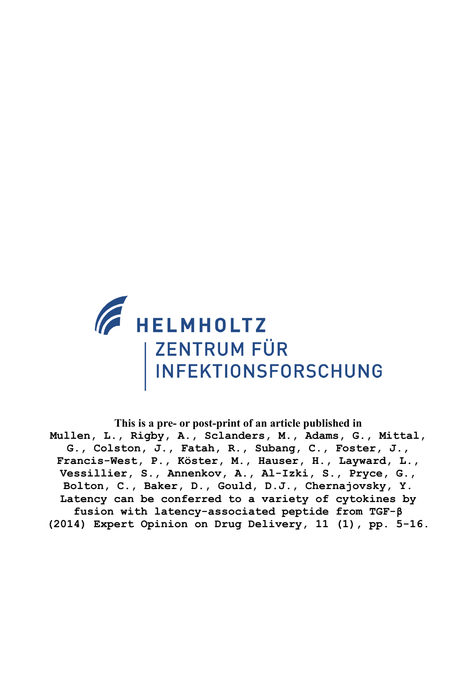

**This is a pre- or post-print of an article published in Mullen, L., Rigby, A., Sclanders, M., Adams, G., Mittal, G., Colston, J., Fatah, R., Subang, C., Foster, J., Francis-West, P., Köster, M., Hauser, H., Layward, L., Vessillier, S., Annenkov, A., Al-Izki, S., Pryce, G., Bolton, C., Baker, D., Gould, D.J., Chernajovsky, Y. Latency can be conferred to a variety of cytokines by fusion with latency-associated peptide from TGF-β (2014) Expert Opinion on Drug Delivery, 11 (1), pp. 5-16.**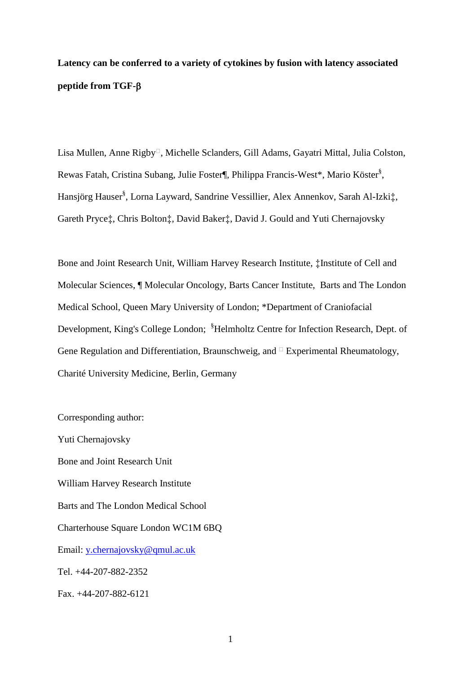# **Latency can be conferred to a variety of cytokines by fusion with latency associated peptide from TGF-**

Lisa Mullen, Anne Rigby<sup>n</sup>, Michelle Sclanders, Gill Adams, Gayatri Mittal, Julia Colston, Rewas Fatah, Cristina Subang, Julie Foster¶, Philippa Francis-West\*, Mario Köster§ , Hansjörg Hauser§ , Lorna Layward, Sandrine Vessillier, Alex Annenkov, Sarah Al-Izki‡, Gareth Pryce‡, Chris Bolton‡, David Baker‡, David J. Gould and Yuti Chernajovsky

Bone and Joint Research Unit, William Harvey Research Institute, ‡Institute of Cell and Molecular Sciences, ¶ Molecular Oncology, Barts Cancer Institute, Barts and The London Medical School, Queen Mary University of London; \*Department of Craniofacial Development, King's College London; <sup>§</sup>Helmholtz Centre for Infection Research, Dept. of Gene Regulation and Differentiation, Braunschweig, and  $\Box$  Experimental Rheumatology, Charité University Medicine, Berlin, Germany

Yuti Chernajovsky Bone and Joint Research Unit William Harvey Research Institute Barts and The London Medical School Charterhouse Square London WC1M 6BQ Email: [y.chernajovsky@qmul.ac.uk](mailto:y.chernajovsky@qmul.ac.uk) Tel. +44-207-882-2352 Fax. +44-207-882-6121

Corresponding author: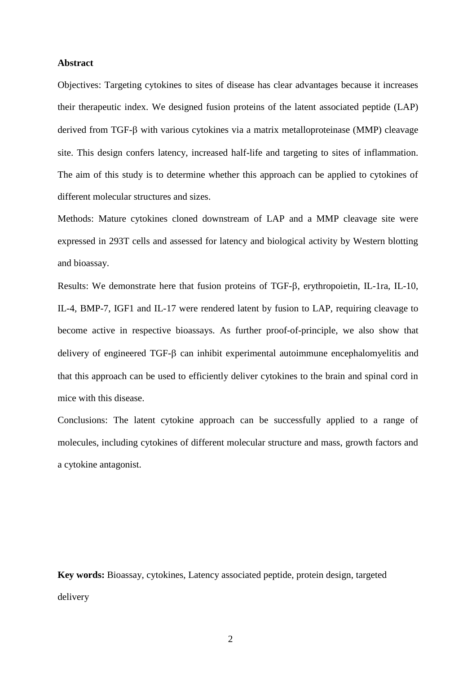### **Abstract**

Objectives: Targeting cytokines to sites of disease has clear advantages because it increases their therapeutic index. We designed fusion proteins of the latent associated peptide (LAP) derived from TGF- $\beta$  with various cytokines via a matrix metalloproteinase (MMP) cleavage site. This design confers latency, increased half-life and targeting to sites of inflammation. The aim of this study is to determine whether this approach can be applied to cytokines of different molecular structures and sizes.

Methods: Mature cytokines cloned downstream of LAP and a MMP cleavage site were expressed in 293T cells and assessed for latency and biological activity by Western blotting and bioassay.

Results: We demonstrate here that fusion proteins of TGF- $\beta$ , erythropoietin, IL-1ra, IL-10, IL-4, BMP-7, IGF1 and IL-17 were rendered latent by fusion to LAP, requiring cleavage to become active in respective bioassays. As further proof-of-principle, we also show that delivery of engineered  $TGF-\beta$  can inhibit experimental autoimmune encephalomyelitis and that this approach can be used to efficiently deliver cytokines to the brain and spinal cord in mice with this disease.

Conclusions: The latent cytokine approach can be successfully applied to a range of molecules, including cytokines of different molecular structure and mass, growth factors and a cytokine antagonist.

**Key words:** Bioassay, cytokines, Latency associated peptide, protein design, targeted delivery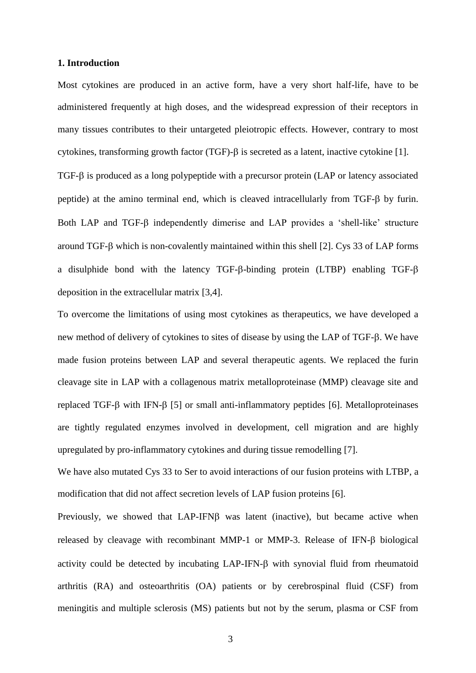### **1. Introduction**

Most cytokines are produced in an active form, have a very short half-life, have to be administered frequently at high doses, and the widespread expression of their receptors in many tissues contributes to their untargeted pleiotropic effects. However, contrary to most cytokines, transforming growth factor (TGF)- $\beta$  is secreted as a latent, inactive cytokine [1]. TGF- $\beta$  is produced as a long polypeptide with a precursor protein (LAP or latency associated peptide) at the amino terminal end, which is cleaved intracellularly from  $TGF-\beta$  by furin. Both LAP and TGF- $\beta$  independently dimerise and LAP provides a 'shell-like' structure around TGF- $\beta$  which is non-covalently maintained within this shell [2]. Cys 33 of LAP forms a disulphide bond with the latency TGF- $\beta$ -binding protein (LTBP) enabling TGF- $\beta$ deposition in the extracellular matrix [3,4].

To overcome the limitations of using most cytokines as therapeutics, we have developed a new method of delivery of cytokines to sites of disease by using the LAP of TGF- $\beta$ . We have made fusion proteins between LAP and several therapeutic agents. We replaced the furin cleavage site in LAP with a collagenous matrix metalloproteinase (MMP) cleavage site and replaced TGF- $\beta$  with IFN- $\beta$  [5] or small anti-inflammatory peptides [6]. Metalloproteinases are tightly regulated enzymes involved in development, cell migration and are highly upregulated by pro-inflammatory cytokines and during tissue remodelling [7].

We have also mutated Cys 33 to Ser to avoid interactions of our fusion proteins with LTBP, a modification that did not affect secretion levels of LAP fusion proteins [6].

Previously, we showed that  $LAP-IFN\beta$  was latent (inactive), but became active when released by cleavage with recombinant MMP-1 or MMP-3. Release of IFN- $\beta$  biological activity could be detected by incubating  $LAP-IFN-\beta$  with synovial fluid from rheumatoid arthritis (RA) and osteoarthritis (OA) patients or by cerebrospinal fluid (CSF) from meningitis and multiple sclerosis (MS) patients but not by the serum, plasma or CSF from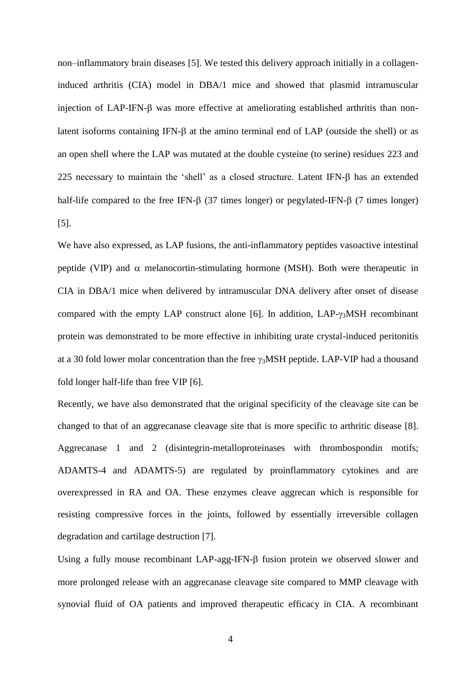non–inflammatory brain diseases [5]. We tested this delivery approach initially in a collageninduced arthritis (CIA) model in DBA/1 mice and showed that plasmid intramuscular injection of LAP-IFN- $\beta$  was more effective at ameliorating established arthritis than nonlatent isoforms containing IFN- $\beta$  at the amino terminal end of LAP (outside the shell) or as an open shell where the LAP was mutated at the double cysteine (to serine) residues 223 and 225 necessary to maintain the 'shell' as a closed structure. Latent IFN- $\beta$  has an extended half-life compared to the free IFN- $\beta$  (37 times longer) or pegylated-IFN- $\beta$  (7 times longer) [5].

We have also expressed, as LAP fusions, the anti-inflammatory peptides vasoactive intestinal peptide (VIP) and  $\alpha$  melanocortin-stimulating hormone (MSH). Both were therapeutic in CIA in DBA/1 mice when delivered by intramuscular DNA delivery after onset of disease compared with the empty LAP construct alone [6]. In addition,  $LAP-\gamma_3MSH$  recombinant protein was demonstrated to be more effective in inhibiting urate crystal-induced peritonitis at a 30 fold lower molar concentration than the free  $\gamma_3$ MSH peptide. LAP-VIP had a thousand fold longer half-life than free VIP [6].

Recently, we have also demonstrated that the original specificity of the cleavage site can be changed to that of an aggrecanase cleavage site that is more specific to arthritic disease [8]. Aggrecanase 1 and 2 (disintegrin-metalloproteinases with thrombospondin motifs; ADAMTS-4 and ADAMTS-5) are regulated by proinflammatory cytokines and are overexpressed in RA and OA. These enzymes cleave aggrecan which is responsible for resisting compressive forces in the joints, followed by essentially irreversible collagen degradation and cartilage destruction [7].

Using a fully mouse recombinant LAP-agg-IFN- $\beta$  fusion protein we observed slower and more prolonged release with an aggrecanase cleavage site compared to MMP cleavage with synovial fluid of OA patients and improved therapeutic efficacy in CIA. A recombinant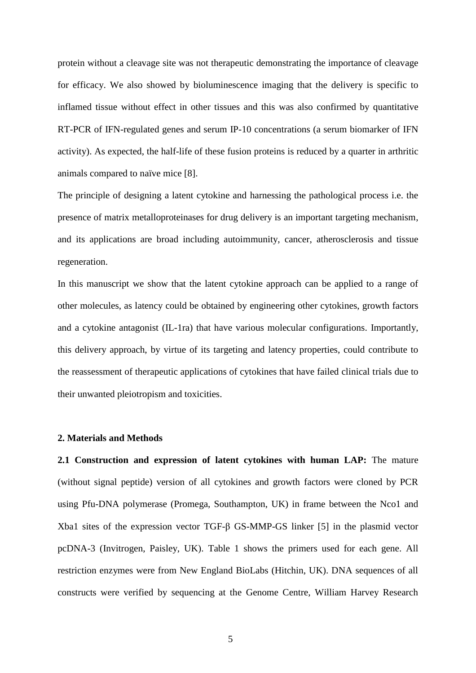protein without a cleavage site was not therapeutic demonstrating the importance of cleavage for efficacy. We also showed by bioluminescence imaging that the delivery is specific to inflamed tissue without effect in other tissues and this was also confirmed by quantitative RT-PCR of IFN-regulated genes and serum IP-10 concentrations (a serum biomarker of IFN activity). As expected, the half-life of these fusion proteins is reduced by a quarter in arthritic animals compared to naïve mice [8].

The principle of designing a latent cytokine and harnessing the pathological process i.e. the presence of matrix metalloproteinases for drug delivery is an important targeting mechanism, and its applications are broad including autoimmunity, cancer, atherosclerosis and tissue regeneration.

In this manuscript we show that the latent cytokine approach can be applied to a range of other molecules, as latency could be obtained by engineering other cytokines, growth factors and a cytokine antagonist (IL-1ra) that have various molecular configurations. Importantly, this delivery approach, by virtue of its targeting and latency properties, could contribute to the reassessment of therapeutic applications of cytokines that have failed clinical trials due to their unwanted pleiotropism and toxicities.

#### **2. Materials and Methods**

**2.1 Construction and expression of latent cytokines with human LAP:** The mature (without signal peptide) version of all cytokines and growth factors were cloned by PCR using Pfu-DNA polymerase (Promega, Southampton, UK) in frame between the Nco1 and Xba1 sites of the expression vector TGF-β GS-MMP-GS linker [5] in the plasmid vector pcDNA-3 (Invitrogen, Paisley, UK). Table 1 shows the primers used for each gene. All restriction enzymes were from New England BioLabs (Hitchin, UK). DNA sequences of all constructs were verified by sequencing at the Genome Centre, William Harvey Research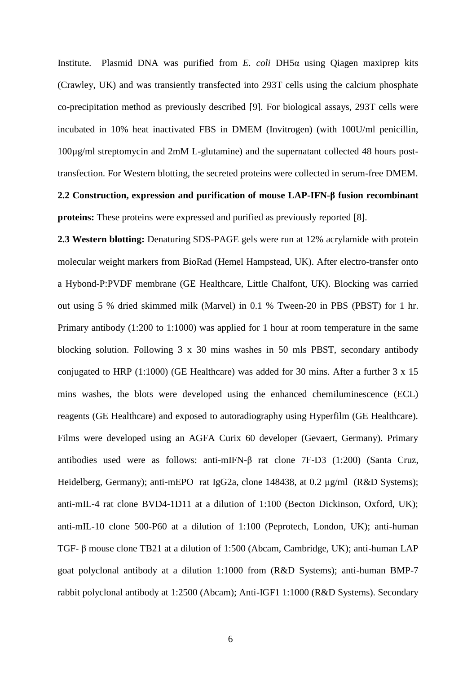Institute. Plasmid DNA was purified from *E. coli* DH5α using Qiagen maxiprep kits (Crawley, UK) and was transiently transfected into 293T cells using the calcium phosphate co-precipitation method as previously described [9]. For biological assays, 293T cells were incubated in 10% heat inactivated FBS in DMEM (Invitrogen) (with 100U/ml penicillin, 100µg/ml streptomycin and 2mM L-glutamine) and the supernatant collected 48 hours posttransfection. For Western blotting, the secreted proteins were collected in serum-free DMEM. **2.2 Construction, expression and purification of mouse LAP-IFN-β fusion recombinant** 

**proteins:** These proteins were expressed and purified as previously reported [8].

**2.3 Western blotting:** Denaturing SDS-PAGE gels were run at 12% acrylamide with protein molecular weight markers from BioRad (Hemel Hampstead, UK). After electro-transfer onto a Hybond-P:PVDF membrane (GE Healthcare, Little Chalfont, UK). Blocking was carried out using 5 % dried skimmed milk (Marvel) in 0.1 % Tween-20 in PBS (PBST) for 1 hr. Primary antibody (1:200 to 1:1000) was applied for 1 hour at room temperature in the same blocking solution. Following 3 x 30 mins washes in 50 mls PBST, secondary antibody conjugated to HRP (1:1000) (GE Healthcare) was added for 30 mins. After a further 3 x 15 mins washes, the blots were developed using the enhanced chemiluminescence (ECL) reagents (GE Healthcare) and exposed to autoradiography using Hyperfilm (GE Healthcare). Films were developed using an AGFA Curix 60 developer (Gevaert, Germany). Primary antibodies used were as follows: anti-mIFN-β rat clone 7F-D3 (1:200) (Santa Cruz, Heidelberg, Germany); anti-mEPO rat IgG2a, clone 148438, at 0.2 µg/ml (R&D Systems); anti-mIL-4 rat clone BVD4-1D11 at a dilution of 1:100 (Becton Dickinson, Oxford, UK); anti-mIL-10 clone 500-P60 at a dilution of 1:100 (Peprotech, London, UK); anti-human TGF- β mouse clone TB21 at a dilution of 1:500 (Abcam, Cambridge, UK); anti-human LAP goat polyclonal antibody at a dilution 1:1000 from (R&D Systems); anti-human BMP-7 rabbit polyclonal antibody at 1:2500 (Abcam); Anti-IGF1 1:1000 (R&D Systems). Secondary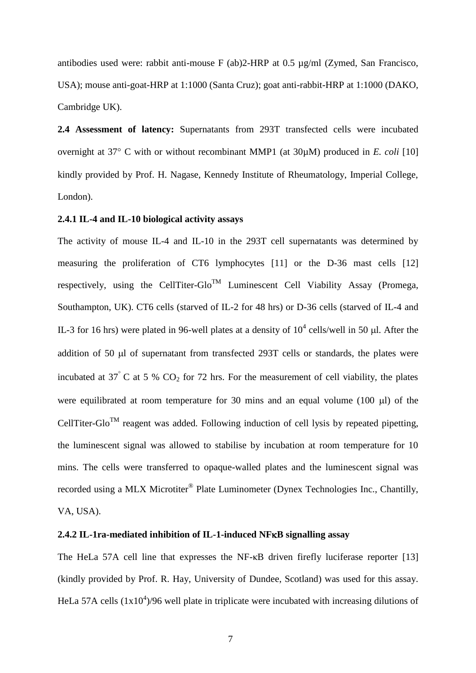antibodies used were: rabbit anti-mouse F (ab)2-HRP at 0.5 µg/ml (Zymed, San Francisco, USA); mouse anti-goat-HRP at 1:1000 (Santa Cruz); goat anti-rabbit-HRP at 1:1000 (DAKO, Cambridge UK).

**2.4 Assessment of latency:** Supernatants from 293T transfected cells were incubated overnight at  $37^{\circ}$  C with or without recombinant MMP1 (at  $30\mu$ M) produced in *E. coli* [10] kindly provided by Prof. H. Nagase, Kennedy Institute of Rheumatology, Imperial College, London).

# **2.4.1 IL-4 and IL-10 biological activity assays**

The activity of mouse IL-4 and IL-10 in the 293T cell supernatants was determined by measuring the proliferation of CT6 lymphocytes [11] or the D-36 mast cells [12] respectively, using the CellTiter-Glo<sup>TM</sup> Luminescent Cell Viability Assay (Promega, Southampton, UK). CT6 cells (starved of IL-2 for 48 hrs) or D-36 cells (starved of IL-4 and IL-3 for 16 hrs) were plated in 96-well plates at a density of  $10^4$  cells/well in 50  $\mu$ l. After the addition of 50  $\mu$ l of supernatant from transfected 293T cells or standards, the plates were incubated at  $37^{\circ}$  C at 5 % CO<sub>2</sub> for 72 hrs. For the measurement of cell viability, the plates were equilibrated at room temperature for 30 mins and an equal volume  $(100 \mu l)$  of the CellTiter-Glo<sup>TM</sup> reagent was added. Following induction of cell lysis by repeated pipetting, the luminescent signal was allowed to stabilise by incubation at room temperature for 10 mins. The cells were transferred to opaque-walled plates and the luminescent signal was recorded using a MLX Microtiter<sup>®</sup> Plate Luminometer (Dynex Technologies Inc., Chantilly, VA, USA).

### **2.4.2 IL-1ra-mediated inhibition of IL-1-induced NFB signalling assay**

The HeLa 57A cell line that expresses the NF-κB driven firefly luciferase reporter [13] (kindly provided by Prof. R. Hay, University of Dundee, Scotland) was used for this assay. HeLa 57A cells  $(1x10<sup>4</sup>)/96$  well plate in triplicate were incubated with increasing dilutions of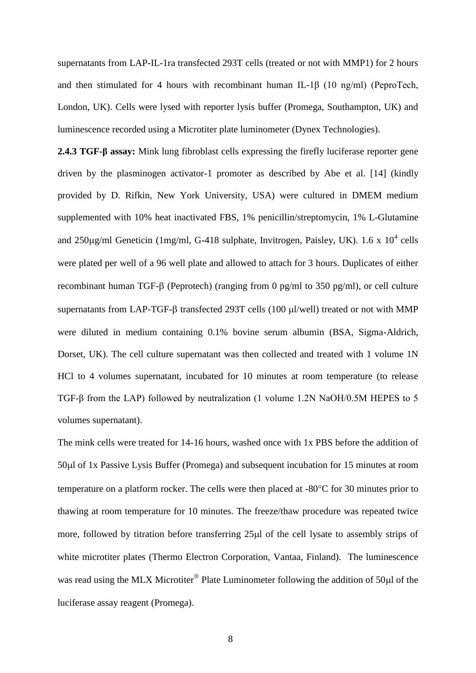supernatants from LAP-IL-1ra transfected 293T cells (treated or not with MMP1) for 2 hours and then stimulated for 4 hours with recombinant human IL-1β (10 ng/ml) (PeproTech, London, UK). Cells were lysed with reporter lysis buffer (Promega, Southampton, UK) and luminescence recorded using a Microtiter plate luminometer (Dynex Technologies).

**2.4.3 TGF-β assay:** Mink lung fibroblast cells expressing the firefly luciferase reporter gene driven by the plasminogen activator-1 promoter as described by Abe et al. [14] (kindly provided by D. Rifkin, New York University, USA) were cultured in DMEM medium supplemented with 10% heat inactivated FBS, 1% penicillin/streptomycin, 1% L-Glutamine and  $250\mu g/ml$  Geneticin (1mg/ml, G-418 sulphate, Invitrogen, Paisley, UK). 1.6 x  $10^4$  cells were plated per well of a 96 well plate and allowed to attach for 3 hours. Duplicates of either recombinant human TGF- $\beta$  (Peprotech) (ranging from 0 pg/ml to 350 pg/ml), or cell culture supernatants from LAP-TGF- $\beta$  transfected 293T cells (100  $\mu$ l/well) treated or not with MMP were diluted in medium containing 0.1% bovine serum albumin (BSA, Sigma-Aldrich, Dorset, UK). The cell culture supernatant was then collected and treated with 1 volume 1N HCl to 4 volumes supernatant, incubated for 10 minutes at room temperature (to release TGF-β from the LAP) followed by neutralization (1 volume 1.2N NaOH/0.5M HEPES to 5 volumes supernatant).

The mink cells were treated for 14-16 hours, washed once with 1x PBS before the addition of 50l of 1x Passive Lysis Buffer (Promega) and subsequent incubation for 15 minutes at room temperature on a platform rocker. The cells were then placed at -80°C for 30 minutes prior to thawing at room temperature for 10 minutes. The freeze/thaw procedure was repeated twice more, followed by titration before transferring 25 $\mu$ l of the cell lysate to assembly strips of white microtiter plates (Thermo Electron Corporation, Vantaa, Finland). The luminescence was read using the MLX Microtiter<sup>®</sup> Plate Luminometer following the addition of 50 $\mu$ l of the luciferase assay reagent (Promega).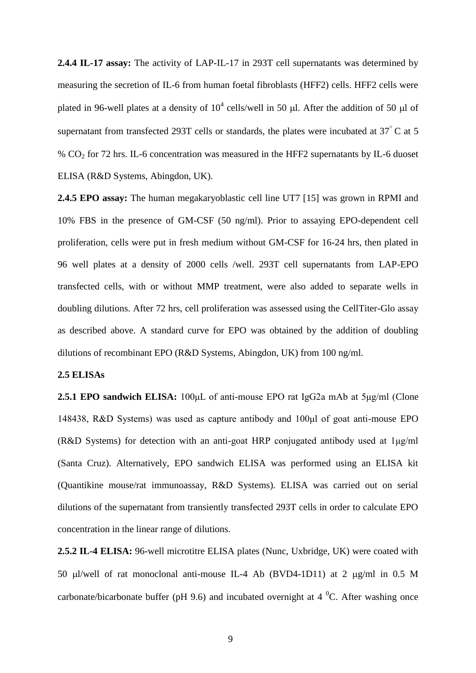**2.4.4 IL-17 assay:** The activity of LAP-IL-17 in 293T cell supernatants was determined by measuring the secretion of IL-6 from human foetal fibroblasts (HFF2) cells. HFF2 cells were plated in 96-well plates at a density of  $10^4$  cells/well in 50  $\mu$ l. After the addition of 50  $\mu$ l of supernatant from transfected 293T cells or standards, the plates were incubated at  $37^{\circ}$ C at 5 % CO<sup>2</sup> for 72 hrs. IL-6 concentration was measured in the HFF2 supernatants by IL-6 duoset ELISA (R&D Systems, Abingdon, UK).

**2.4.5 EPO assay:** The human megakaryoblastic cell line UT7 [15] was grown in RPMI and 10% FBS in the presence of GM-CSF (50 ng/ml). Prior to assaying EPO-dependent cell proliferation, cells were put in fresh medium without GM-CSF for 16-24 hrs, then plated in 96 well plates at a density of 2000 cells /well. 293T cell supernatants from LAP-EPO transfected cells, with or without MMP treatment, were also added to separate wells in doubling dilutions. After 72 hrs, cell proliferation was assessed using the CellTiter-Glo assay as described above. A standard curve for EPO was obtained by the addition of doubling dilutions of recombinant EPO (R&D Systems, Abingdon, UK) from 100 ng/ml.

### **2.5 ELISAs**

**2.5.1 EPO sandwich ELISA:** 100μL of anti-mouse EPO rat IgG2a mAb at 5μg/ml (Clone 148438, R&D Systems) was used as capture antibody and 100μl of goat anti-mouse EPO (R&D Systems) for detection with an anti-goat HRP conjugated antibody used at 1μg/ml (Santa Cruz). Alternatively, EPO sandwich ELISA was performed using an ELISA kit (Quantikine mouse/rat immunoassay, R&D Systems). ELISA was carried out on serial dilutions of the supernatant from transiently transfected 293T cells in order to calculate EPO concentration in the linear range of dilutions.

**2.5.2 IL-4 ELISA:** 96-well microtitre ELISA plates (Nunc, Uxbridge, UK) were coated with 50 µl/well of rat monoclonal anti-mouse IL-4 Ab (BVD4-1D11) at 2 µg/ml in 0.5 M carbonate/bicarbonate buffer (pH 9.6) and incubated overnight at  $4^{\circ}$ C. After washing once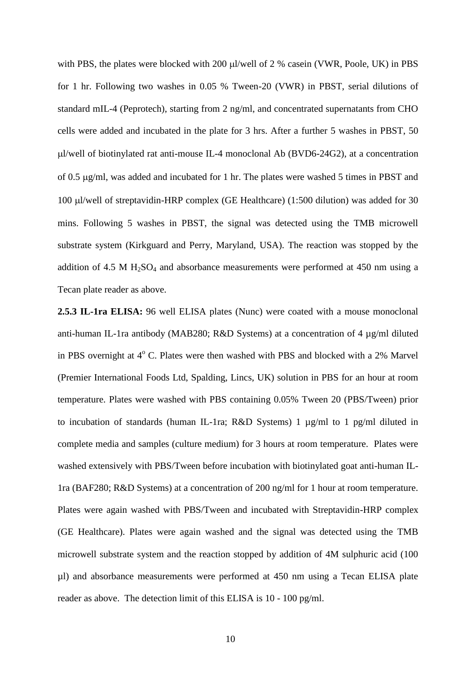with PBS, the plates were blocked with 200  $\mu$ l/well of 2 % casein (VWR, Poole, UK) in PBS for 1 hr. Following two washes in 0.05 % Tween-20 (VWR) in PBST, serial dilutions of standard mIL-4 (Peprotech), starting from 2 ng/ml, and concentrated supernatants from CHO cells were added and incubated in the plate for 3 hrs. After a further 5 washes in PBST, 50 l/well of biotinylated rat anti-mouse IL-4 monoclonal Ab (BVD6-24G2), at a concentration of 0.5 g/ml, was added and incubated for 1 hr. The plates were washed 5 times in PBST and 100 µl/well of streptavidin-HRP complex (GE Healthcare) (1:500 dilution) was added for 30 mins. Following 5 washes in PBST, the signal was detected using the TMB microwell substrate system (Kirkguard and Perry, Maryland, USA). The reaction was stopped by the addition of 4.5 M  $H<sub>2</sub>SO<sub>4</sub>$  and absorbance measurements were performed at 450 nm using a Tecan plate reader as above.

**2.5.3 IL-1ra ELISA:** 96 well ELISA plates (Nunc) were coated with a mouse monoclonal anti-human IL-1ra antibody (MAB280; R&D Systems) at a concentration of 4 µg/ml diluted in PBS overnight at  $4^{\circ}$  C. Plates were then washed with PBS and blocked with a 2% Marvel (Premier International Foods Ltd, Spalding, Lincs, UK) solution in PBS for an hour at room temperature. Plates were washed with PBS containing 0.05% Tween 20 (PBS/Tween) prior to incubation of standards (human IL-1ra; R&D Systems) 1 µg/ml to 1 pg/ml diluted in complete media and samples (culture medium) for 3 hours at room temperature. Plates were washed extensively with PBS/Tween before incubation with biotinylated goat anti-human IL-1ra (BAF280; R&D Systems) at a concentration of 200 ng/ml for 1 hour at room temperature. Plates were again washed with PBS/Tween and incubated with Streptavidin-HRP complex (GE Healthcare). Plates were again washed and the signal was detected using the TMB microwell substrate system and the reaction stopped by addition of 4M sulphuric acid (100 µl) and absorbance measurements were performed at 450 nm using a Tecan ELISA plate reader as above. The detection limit of this ELISA is 10 - 100 pg/ml.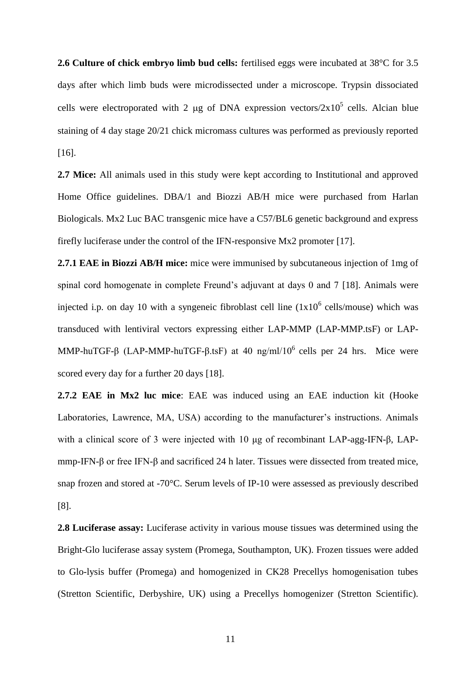**2.6 Culture of chick embryo limb bud cells:** fertilised eggs were incubated at 38°C for 3.5 days after which limb buds were microdissected under a microscope. Trypsin dissociated cells were electroporated with 2  $\mu$ g of DNA expression vectors/2x10<sup>5</sup> cells. Alcian blue staining of 4 day stage 20/21 chick micromass cultures was performed as previously reported [16].

**2.7 Mice:** All animals used in this study were kept according to Institutional and approved Home Office guidelines. DBA/1 and Biozzi AB/H mice were purchased from Harlan Biologicals. Mx2 Luc BAC transgenic mice have a C57/BL6 genetic background and express firefly luciferase under the control of the IFN-responsive Mx2 promoter [17].

**2.7.1 EAE in Biozzi AB/H mice:** mice were immunised by subcutaneous injection of 1mg of spinal cord homogenate in complete Freund's adjuvant at days 0 and 7 [18]. Animals were injected i.p. on day 10 with a syngeneic fibroblast cell line  $(1x10^6 \text{ cells/mouse})$  which was transduced with lentiviral vectors expressing either LAP-MMP (LAP-MMP.tsF) or LAP-MMP-huTGF-β (LAP-MMP-huTGF-β.tsF) at 40 ng/ml/10<sup>6</sup> cells per 24 hrs. Mice were scored every day for a further 20 days [18].

**2.7.2 EAE in Mx2 luc mice**: EAE was induced using an EAE induction kit (Hooke Laboratories, Lawrence, MA, USA) according to the manufacturer's instructions. Animals with a clinical score of 3 were injected with 10 μg of recombinant LAP-agg-IFN-β, LAPmmp-IFN-β or free IFN-β and sacrificed 24 h later. Tissues were dissected from treated mice, snap frozen and stored at -70°C. Serum levels of IP-10 were assessed as previously described [8].

**2.8 Luciferase assay:** Luciferase activity in various mouse tissues was determined using the Bright-Glo luciferase assay system (Promega, Southampton, UK). Frozen tissues were added to Glo-lysis buffer (Promega) and homogenized in CK28 Precellys homogenisation tubes (Stretton Scientific, Derbyshire, UK) using a Precellys homogenizer (Stretton Scientific).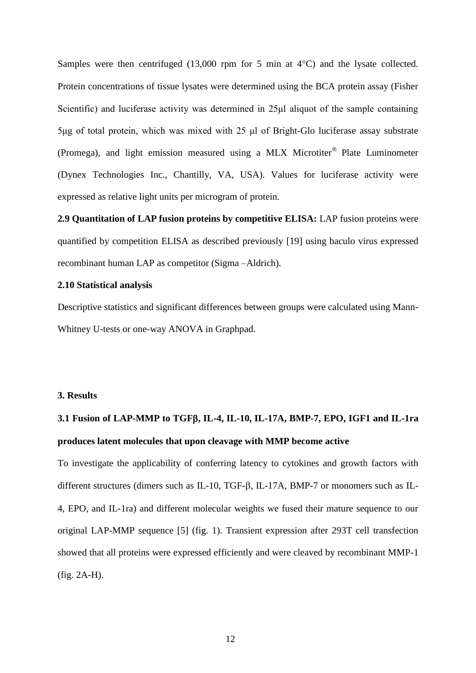Samples were then centrifuged  $(13,000 \text{ rpm}$  for 5 min at  $4^{\circ}$ C) and the lysate collected. Protein concentrations of tissue lysates were determined using the BCA protein assay (Fisher Scientific) and luciferase activity was determined in 25μl aliquot of the sample containing 5μg of total protein, which was mixed with 25 μl of Bright-Glo luciferase assay substrate (Promega), and light emission measured using a MLX Microtiter® Plate Luminometer (Dynex Technologies Inc., Chantilly, VA, USA). Values for luciferase activity were expressed as relative light units per microgram of protein.

**2.9 Quantitation of LAP fusion proteins by competitive ELISA:** LAP fusion proteins were quantified by competition ELISA as described previously [19] using baculo virus expressed recombinant human LAP as competitor (Sigma –Aldrich).

### **2.10 Statistical analysis**

Descriptive statistics and significant differences between groups were calculated using Mann-Whitney U-tests or one-way ANOVA in Graphpad.

### **3. Results**

# **3.1 Fusion of LAP-MMP to TGF, IL-4, IL-10, IL-17A, BMP-7, EPO, IGF1 and IL-1ra produces latent molecules that upon cleavage with MMP become active**

To investigate the applicability of conferring latency to cytokines and growth factors with different structures (dimers such as IL-10, TGF- $\beta$ , IL-17A, BMP-7 or monomers such as IL-4, EPO, and IL-1ra) and different molecular weights we fused their mature sequence to our original LAP-MMP sequence [5] (fig. 1). Transient expression after 293T cell transfection showed that all proteins were expressed efficiently and were cleaved by recombinant MMP-1 (fig. 2A-H).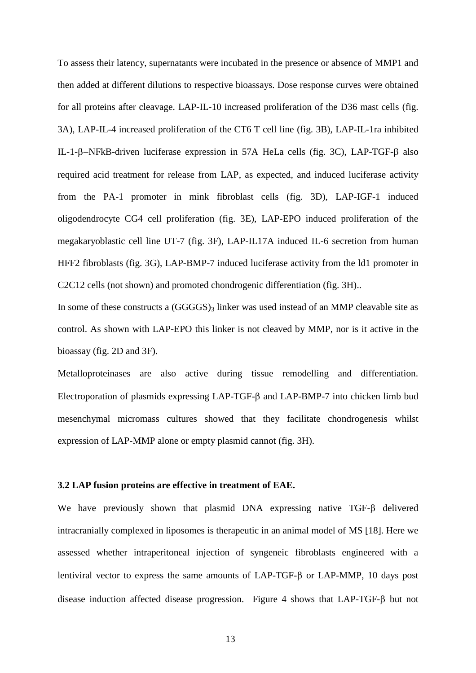To assess their latency, supernatants were incubated in the presence or absence of MMP1 and then added at different dilutions to respective bioassays. Dose response curves were obtained for all proteins after cleavage. LAP-IL-10 increased proliferation of the D36 mast cells (fig. 3A), LAP-IL-4 increased proliferation of the CT6 T cell line (fig. 3B), LAP-IL-1ra inhibited IL-1- $\beta$ -NFkB-driven luciferase expression in 57A HeLa cells (fig. 3C), LAP-TGF- $\beta$  also required acid treatment for release from LAP, as expected, and induced luciferase activity from the PA-1 promoter in mink fibroblast cells (fig. 3D), LAP-IGF-1 induced oligodendrocyte CG4 cell proliferation (fig. 3E), LAP-EPO induced proliferation of the megakaryoblastic cell line UT-7 (fig. 3F), LAP-IL17A induced IL-6 secretion from human HFF2 fibroblasts (fig. 3G), LAP-BMP-7 induced luciferase activity from the ld1 promoter in C2C12 cells (not shown) and promoted chondrogenic differentiation (fig. 3H)..

In some of these constructs a  $(GGGGS)_3$  linker was used instead of an MMP cleavable site as control. As shown with LAP-EPO this linker is not cleaved by MMP, nor is it active in the bioassay (fig. 2D and 3F).

Metalloproteinases are also active during tissue remodelling and differentiation. Electroporation of plasmids expressing LAP-TGF- $\beta$  and LAP-BMP-7 into chicken limb bud mesenchymal micromass cultures showed that they facilitate chondrogenesis whilst expression of LAP-MMP alone or empty plasmid cannot (fig. 3H).

### **3.2 LAP fusion proteins are effective in treatment of EAE.**

We have previously shown that plasmid  $DNA$  expressing native  $TGF-\beta$  delivered intracranially complexed in liposomes is therapeutic in an animal model of MS [18]. Here we assessed whether intraperitoneal injection of syngeneic fibroblasts engineered with a lentiviral vector to express the same amounts of  $LAP-TGF-\beta$  or  $LAP-MDP$ , 10 days post disease induction affected disease progression. Figure 4 shows that  $LAP- TGF- $\beta$  but not$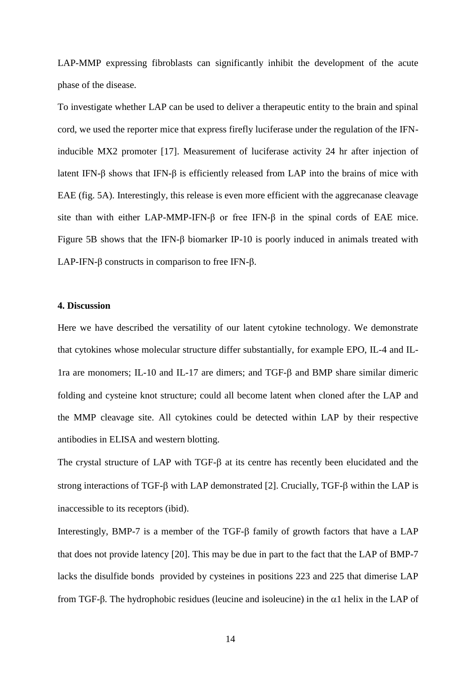LAP-MMP expressing fibroblasts can significantly inhibit the development of the acute phase of the disease.

To investigate whether LAP can be used to deliver a therapeutic entity to the brain and spinal cord, we used the reporter mice that express firefly luciferase under the regulation of the IFNinducible MX2 promoter [17]. Measurement of luciferase activity 24 hr after injection of latent IFN-β shows that IFN-β is efficiently released from LAP into the brains of mice with EAE (fig. 5A). Interestingly, this release is even more efficient with the aggrecanase cleavage site than with either LAP-MMP-IFN-β or free IFN-β in the spinal cords of EAE mice. Figure 5B shows that the IFN-β biomarker IP-10 is poorly induced in animals treated with LAP-IFN-β constructs in comparison to free IFN-β.

### **4. Discussion**

Here we have described the versatility of our latent cytokine technology. We demonstrate that cytokines whose molecular structure differ substantially, for example EPO, IL-4 and IL-1ra are monomers; IL-10 and IL-17 are dimers; and TGF- $\beta$  and BMP share similar dimeric folding and cysteine knot structure; could all become latent when cloned after the LAP and the MMP cleavage site. All cytokines could be detected within LAP by their respective antibodies in ELISA and western blotting.

The crystal structure of LAP with  $TGF-\beta$  at its centre has recently been elucidated and the strong interactions of TGF- $\beta$  with LAP demonstrated [2]. Crucially, TGF- $\beta$  within the LAP is inaccessible to its receptors (ibid).

Interestingly, BMP-7 is a member of the TGF- $\beta$  family of growth factors that have a LAP that does not provide latency [20]. This may be due in part to the fact that the LAP of BMP-7 lacks the disulfide bonds provided by cysteines in positions 223 and 225 that dimerise LAP from TGF-β. The hydrophobic residues (leucine and isoleucine) in the  $α1$  helix in the LAP of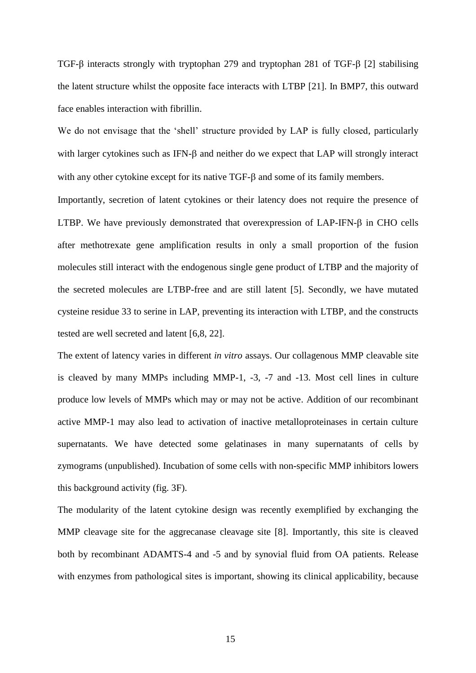TGF- $\beta$  interacts strongly with tryptophan 279 and tryptophan 281 of TGF- $\beta$  [2] stabilising the latent structure whilst the opposite face interacts with LTBP [21]. In BMP7, this outward face enables interaction with fibrillin.

We do not envisage that the 'shell' structure provided by LAP is fully closed, particularly with larger cytokines such as IFN- $\beta$  and neither do we expect that LAP will strongly interact with any other cytokine except for its native  $TGF-\beta$  and some of its family members.

Importantly, secretion of latent cytokines or their latency does not require the presence of LTBP. We have previously demonstrated that overexpression of  $LAP-IFN-\beta$  in CHO cells after methotrexate gene amplification results in only a small proportion of the fusion molecules still interact with the endogenous single gene product of LTBP and the majority of the secreted molecules are LTBP-free and are still latent [5]. Secondly, we have mutated cysteine residue 33 to serine in LAP, preventing its interaction with LTBP, and the constructs tested are well secreted and latent [6,8, 22].

The extent of latency varies in different *in vitro* assays. Our collagenous MMP cleavable site is cleaved by many MMPs including MMP-1, -3, -7 and -13. Most cell lines in culture produce low levels of MMPs which may or may not be active. Addition of our recombinant active MMP-1 may also lead to activation of inactive metalloproteinases in certain culture supernatants. We have detected some gelatinases in many supernatants of cells by zymograms (unpublished). Incubation of some cells with non-specific MMP inhibitors lowers this background activity (fig. 3F).

The modularity of the latent cytokine design was recently exemplified by exchanging the MMP cleavage site for the aggrecanase cleavage site [8]. Importantly, this site is cleaved both by recombinant ADAMTS-4 and -5 and by synovial fluid from OA patients. Release with enzymes from pathological sites is important, showing its clinical applicability, because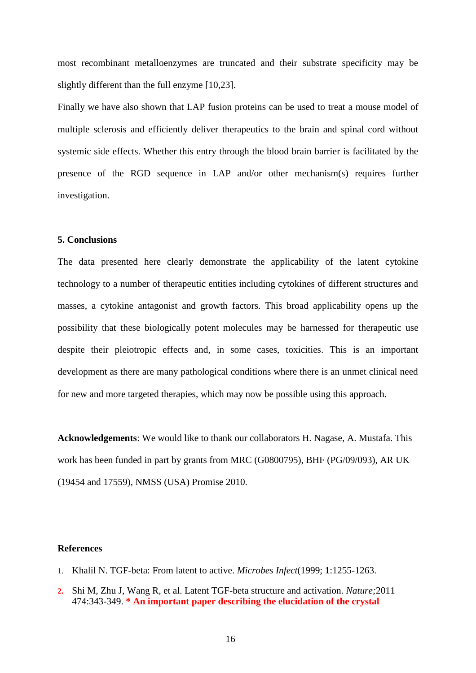most recombinant metalloenzymes are truncated and their substrate specificity may be slightly different than the full enzyme [10,23].

Finally we have also shown that LAP fusion proteins can be used to treat a mouse model of multiple sclerosis and efficiently deliver therapeutics to the brain and spinal cord without systemic side effects. Whether this entry through the blood brain barrier is facilitated by the presence of the RGD sequence in LAP and/or other mechanism(s) requires further investigation.

### **5. Conclusions**

The data presented here clearly demonstrate the applicability of the latent cytokine technology to a number of therapeutic entities including cytokines of different structures and masses, a cytokine antagonist and growth factors. This broad applicability opens up the possibility that these biologically potent molecules may be harnessed for therapeutic use despite their pleiotropic effects and, in some cases, toxicities. This is an important development as there are many pathological conditions where there is an unmet clinical need for new and more targeted therapies, which may now be possible using this approach.

**Acknowledgements**: We would like to thank our collaborators H. Nagase, A. Mustafa. This work has been funded in part by grants from MRC (G0800795), BHF (PG/09/093), AR UK (19454 and 17559), NMSS (USA) Promise 2010.

### **References**

- 1. Khalil N. TGF-beta: From latent to active. *Microbes Infect*(1999; **1**:1255-1263.
- **2.** Shi M, Zhu J, Wang R, et al. Latent TGF-beta structure and activation. *Nature;*2011 474:343-349. **\* An important paper describing the elucidation of the crystal**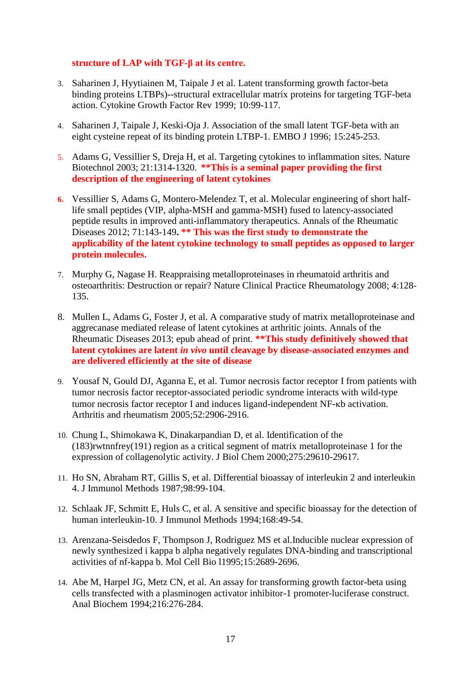# **structure of LAP with TGF-β at its centre.**

- 3. Saharinen J, Hyytiainen M, Taipale J et al. Latent transforming growth factor-beta binding proteins LTBPs)--structural extracellular matrix proteins for targeting TGF-beta action. Cytokine Growth Factor Rev 1999; 10:99-117.
- 4. Saharinen J, Taipale J, Keski-Oja J. Association of the small latent TGF-beta with an eight cysteine repeat of its binding protein LTBP-1. EMBO J 1996; 15:245-253.
- 5. Adams G, Vessillier S, Dreja H, et al. Targeting cytokines to inflammation sites. Nature Biotechnol 2003; 21:1314-1320. **\*\*This is a seminal paper providing the first description of the engineering of latent cytokines**
- **6.** Vessillier S, Adams G, Montero-Melendez T, et al. Molecular engineering of short halflife small peptides (VIP, alpha-MSH and gamma-MSH) fused to latency-associated peptide results in improved anti-inflammatory therapeutics. Annals of the Rheumatic Diseases 2012; 71:143-149**. \*\* This was the first study to demonstrate the applicability of the latent cytokine technology to small peptides as opposed to larger protein molecules.**
- 7. Murphy G, Nagase H. Reappraising metalloproteinases in rheumatoid arthritis and osteoarthritis: Destruction or repair? Nature Clinical Practice Rheumatology 2008; 4:128- 135.
- 8. Mullen L, Adams G, Foster J, et al. A comparative study of matrix metalloproteinase and aggrecanase mediated release of latent cytokines at arthritic joints. Annals of the Rheumatic Diseases 2013; epub ahead of print. **\*\*This study definitively showed that latent cytokines are latent** *in vivo* **until cleavage by disease-associated enzymes and are delivered efficiently at the site of disease**
- 9. Yousaf N, Gould DJ, Aganna E, et al. Tumor necrosis factor receptor I from patients with tumor necrosis factor receptor-associated periodic syndrome interacts with wild-type tumor necrosis factor receptor I and induces ligand-independent NF-kb activation. Arthritis and rheumatism 2005;52:2906-2916.
- 10. Chung L, Shimokawa K, Dinakarpandian D, et al. Identification of the (183)rwtnnfrey(191) region as a critical segment of matrix metalloproteinase 1 for the expression of collagenolytic activity. J Biol Chem 2000;275:29610-29617.
- 11. Ho SN, Abraham RT, Gillis S, et al. Differential bioassay of interleukin 2 and interleukin 4. J Immunol Methods 1987;98:99-104.
- 12. Schlaak JF, Schmitt E, Huls C, et al. A sensitive and specific bioassay for the detection of human interleukin-10. J Immunol Methods 1994;168:49-54.
- 13. Arenzana-Seisdedos F, Thompson J, Rodriguez MS et al.Inducible nuclear expression of newly synthesized i kappa b alpha negatively regulates DNA-binding and transcriptional activities of nf-kappa b. Mol Cell Bio l1995;15:2689-2696.
- 14. Abe M, Harpel JG, Metz CN, et al. An assay for transforming growth factor-beta using cells transfected with a plasminogen activator inhibitor-1 promoter-luciferase construct. Anal Biochem 1994;216:276-284.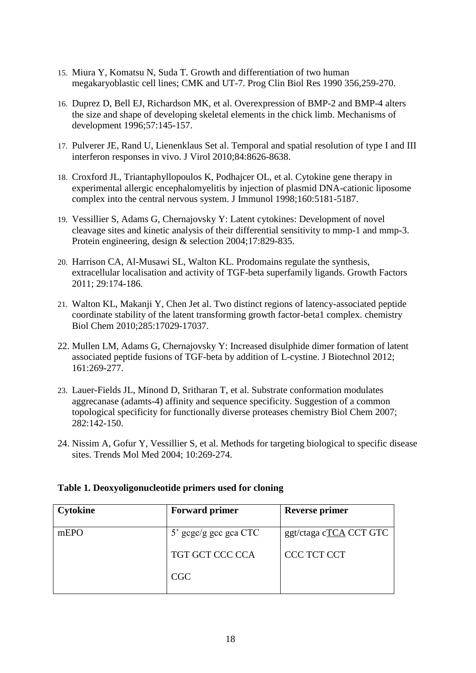- 15. Miura Y, Komatsu N, Suda T. Growth and differentiation of two human megakaryoblastic cell lines; CMK and UT-7. Prog Clin Biol Res 1990 356,259-270.
- 16. Duprez D, Bell EJ, Richardson MK, et al. Overexpression of BMP-2 and BMP-4 alters the size and shape of developing skeletal elements in the chick limb. Mechanisms of development 1996;57:145-157.
- 17. Pulverer JE, Rand U, Lienenklaus Set al. Temporal and spatial resolution of type I and III interferon responses in vivo. J Virol 2010;84:8626-8638.
- 18. Croxford JL, Triantaphyllopoulos K, Podhajcer OL, et al. Cytokine gene therapy in experimental allergic encephalomyelitis by injection of plasmid DNA-cationic liposome complex into the central nervous system. J Immunol 1998;160:5181-5187.
- 19. Vessillier S, Adams G, Chernajovsky Y: Latent cytokines: Development of novel cleavage sites and kinetic analysis of their differential sensitivity to mmp-1 and mmp-3. Protein engineering, design & selection 2004;17:829-835.
- 20. Harrison CA, Al-Musawi SL, Walton KL. Prodomains regulate the synthesis, extracellular localisation and activity of TGF-beta superfamily ligands. Growth Factors 2011; 29:174-186.
- 21. Walton KL, Makanji Y, Chen Jet al. Two distinct regions of latency-associated peptide coordinate stability of the latent transforming growth factor-beta1 complex. chemistry Biol Chem 2010;285:17029-17037.
- 22. Mullen LM, Adams G, Chernajovsky Y: Increased disulphide dimer formation of latent associated peptide fusions of TGF-beta by addition of L-cystine. J Biotechnol 2012; 161:269-277.
- 23. Lauer-Fields JL, Minond D, Sritharan T, et al. Substrate conformation modulates aggrecanase (adamts-4) affinity and sequence specificity. Suggestion of a common topological specificity for functionally diverse proteases chemistry Biol Chem 2007; 282:142-150.
- 24. Nissim A, Gofur Y, Vessillier S, et al. Methods for targeting biological to specific disease sites. Trends Mol Med 2004; 10:269-274.

# **Table 1. Deoxyoligonucleotide primers used for cloning**

| Cytokine | <b>Forward primer</b> | <b>Reverse primer</b>  |
|----------|-----------------------|------------------------|
| mEPO     | 5' gcgc/g gcc gca CTC | ggt/ctaga cTCA CCT GTC |
|          | TGT GCT CCC CCA       | CCC TCT CCT            |
|          | <b>CGC</b>            |                        |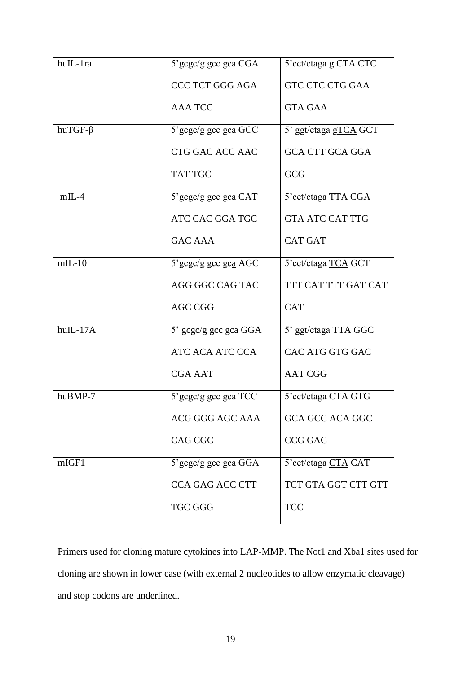| huIL-1ra      | $5'$ gcgc/g gcc gca CGA | 5'cct/ctaga g CTA CTC  |
|---------------|-------------------------|------------------------|
|               | <b>CCC TCT GGG AGA</b>  | <b>GTC CTC CTG GAA</b> |
|               | <b>AAA TCC</b>          | <b>GTA GAA</b>         |
| $huTGF-\beta$ | 5'gcgc/g gcc gca GCC    | 5' ggt/ctaga gTCA GCT  |
|               | CTG GAC ACC AAC         | <b>GCA CTT GCA GGA</b> |
|               | <b>TAT TGC</b>          | GCG                    |
| $mIL-4$       | $5'$ gcgc/g gcc gca CAT | 5'cct/ctaga TTA CGA    |
|               | ATC CAC GGA TGC         | <b>GTA ATC CAT TTG</b> |
|               | <b>GAC AAA</b>          | <b>CAT GAT</b>         |
| $mIL-10$      | 5'gcgc/g gcc gca AGC    | 5'cct/ctaga TCA GCT    |
|               | AGG GGC CAG TAC         | TTT CAT TTT GAT CAT    |
|               | <b>AGC CGG</b>          | <b>CAT</b>             |
| huIL-17A      | 5' gcgc/g gcc gca GGA   | 5' ggt/ctaga TTA GGC   |
|               | ATC ACA ATC CCA         | CAC ATG GTG GAC        |
|               | <b>CGA AAT</b>          | <b>AAT CGG</b>         |
| huBMP-7       | 5'gcgc/g gcc gca TCC    | 5'cct/ctaga CTA GTG    |
|               | ACG GGG AGC AAA         | <b>GCA GCC ACA GGC</b> |
|               | CAG CGC                 | <b>CCG GAC</b>         |
| mIGF1         | 5'gcgc/g gcc gca GGA    | 5'cct/ctaga CTA CAT    |
|               | <b>CCA GAG ACC CTT</b>  | TCT GTA GGT CTT GTT    |
|               | <b>TGC GGG</b>          | <b>TCC</b>             |

Primers used for cloning mature cytokines into LAP-MMP. The Not1 and Xba1 sites used for cloning are shown in lower case (with external 2 nucleotides to allow enzymatic cleavage) and stop codons are underlined.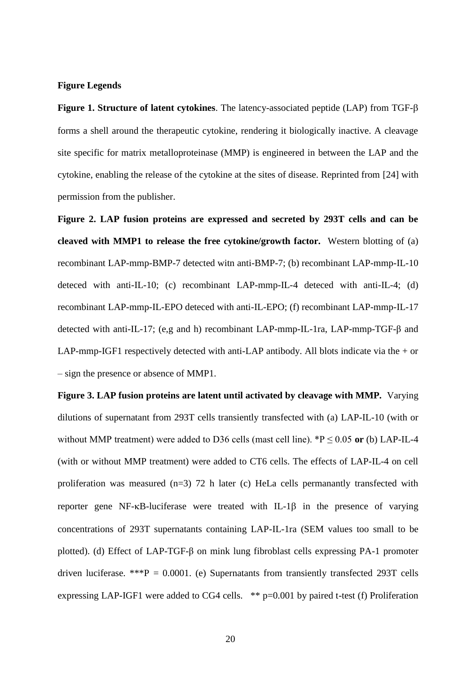### **Figure Legends**

**Figure 1. Structure of latent cytokines**. The latency-associated peptide (LAP) from TGF forms a shell around the therapeutic cytokine, rendering it biologically inactive. A cleavage site specific for matrix metalloproteinase (MMP) is engineered in between the LAP and the cytokine, enabling the release of the cytokine at the sites of disease. Reprinted from [24] with permission from the publisher.

**Figure 2. LAP fusion proteins are expressed and secreted by 293T cells and can be cleaved with MMP1 to release the free cytokine/growth factor.** Western blotting of (a) recombinant LAP-mmp-BMP-7 detected witn anti-BMP-7; (b) recombinant LAP-mmp-IL-10 deteced with anti-IL-10; (c) recombinant LAP-mmp-IL-4 deteced with anti-IL-4; (d) recombinant LAP-mmp-IL-EPO deteced with anti-IL-EPO; (f) recombinant LAP-mmp-IL-17 detected with anti-IL-17; (e,g and h) recombinant LAP-mmp-IL-1ra, LAP-mmp-TGF-β and LAP-mmp-IGF1 respectively detected with anti-LAP antibody. All blots indicate via the + or – sign the presence or absence of MMP1.

**Figure 3. LAP fusion proteins are latent until activated by cleavage with MMP.** Varying dilutions of supernatant from 293T cells transiently transfected with (a) LAP-IL-10 (with or without MMP treatment) were added to D36 cells (mast cell line).  ${}^*P \le 0.05$  or (b) LAP-IL-4 (with or without MMP treatment) were added to CT6 cells. The effects of LAP-IL-4 on cell proliferation was measured (n=3) 72 h later (c) HeLa cells permanantly transfected with reporter gene NF- $\kappa$ B-luciferase were treated with IL-1 $\beta$  in the presence of varying concentrations of 293T supernatants containing LAP-IL-1ra (SEM values too small to be plotted). (d) Effect of LAP-TGF-β on mink lung fibroblast cells expressing PA-1 promoter driven luciferase. \*\*\* $P = 0.0001$ . (e) Supernatants from transiently transfected 293T cells expressing LAP-IGF1 were added to CG4 cells. \*\* p=0.001 by paired t-test (f) Proliferation